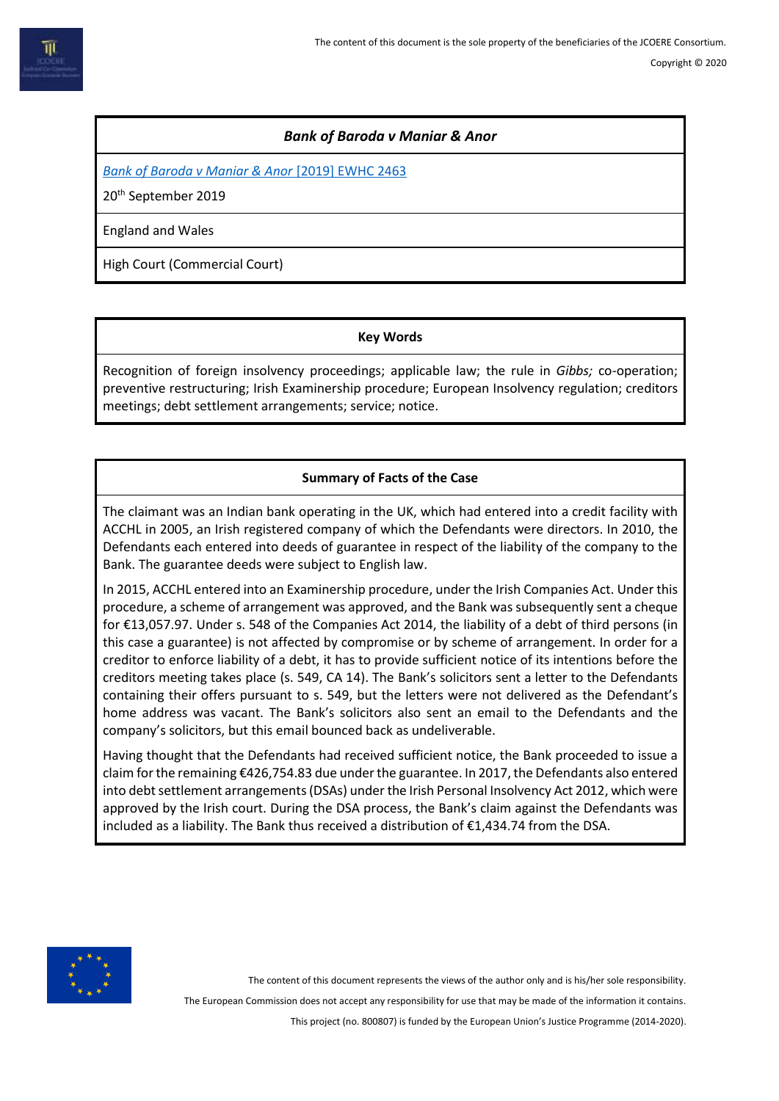## *Bank of Baroda v Maniar & Anor*

*[Bank of Baroda v Maniar & Anor](https://www.bailii.org/ew/cases/EWHC/Comm/2019/2463.html)* [2019] EWHC 2463

20th September 2019

England and Wales

High Court (Commercial Court)

#### **Key Words**

Recognition of foreign insolvency proceedings; applicable law; the rule in *Gibbs;* co-operation; preventive restructuring; Irish Examinership procedure; European Insolvency regulation; creditors meetings; debt settlement arrangements; service; notice.

# **Summary of Facts of the Case**

The claimant was an Indian bank operating in the UK, which had entered into a credit facility with ACCHL in 2005, an Irish registered company of which the Defendants were directors. In 2010, the Defendants each entered into deeds of guarantee in respect of the liability of the company to the Bank. The guarantee deeds were subject to English law.

In 2015, ACCHL entered into an Examinership procedure, under the Irish Companies Act. Under this procedure, a scheme of arrangement was approved, and the Bank was subsequently sent a cheque for €13,057.97. Under s. 548 of the Companies Act 2014, the liability of a debt of third persons (in this case a guarantee) is not affected by compromise or by scheme of arrangement. In order for a creditor to enforce liability of a debt, it has to provide sufficient notice of its intentions before the creditors meeting takes place (s. 549, CA 14). The Bank's solicitors sent a letter to the Defendants containing their offers pursuant to s. 549, but the letters were not delivered as the Defendant's home address was vacant. The Bank's solicitors also sent an email to the Defendants and the company's solicitors, but this email bounced back as undeliverable.

Having thought that the Defendants had received sufficient notice, the Bank proceeded to issue a claim for the remaining €426,754.83 due under the guarantee. In 2017, the Defendants also entered into debt settlement arrangements (DSAs) under the Irish Personal Insolvency Act 2012, which were approved by the Irish court. During the DSA process, the Bank's claim against the Defendants was included as a liability. The Bank thus received a distribution of €1,434.74 from the DSA.



The content of this document represents the views of the author only and is his/her sole responsibility.

The European Commission does not accept any responsibility for use that may be made of the information it contains.

This project (no. 800807) is funded by the European Union's Justice Programme (2014-2020).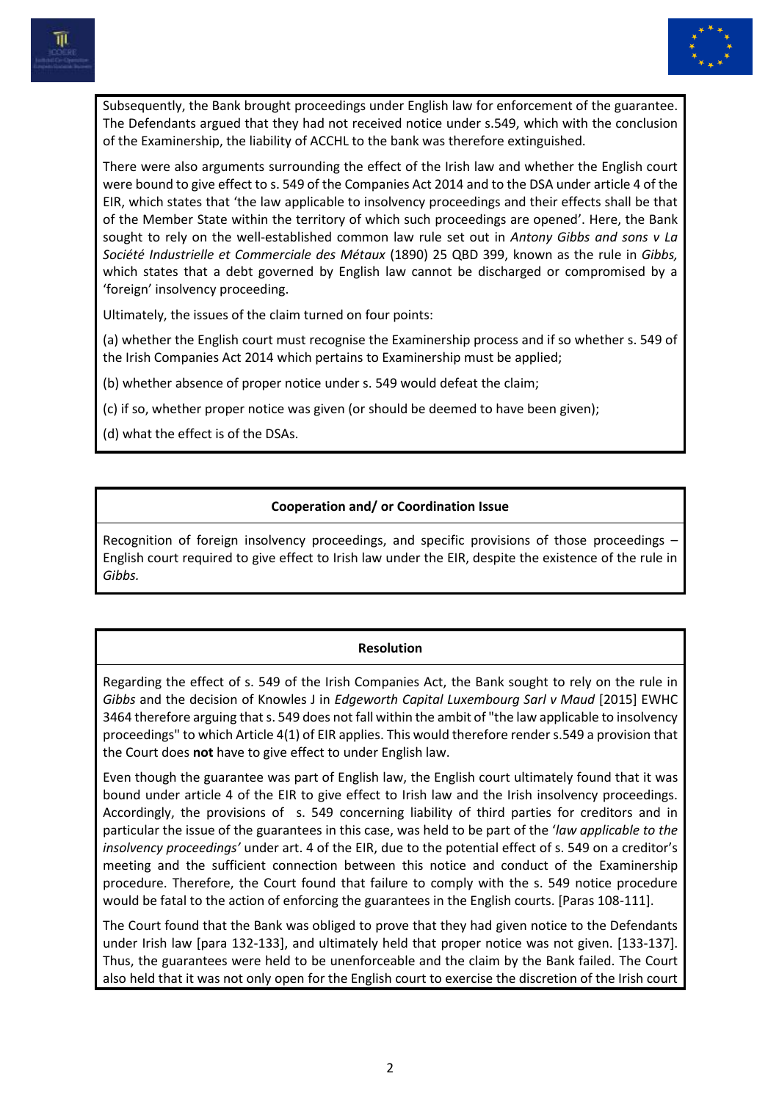



Subsequently, the Bank brought proceedings under English law for enforcement of the guarantee. The Defendants argued that they had not received notice under s.549, which with the conclusion of the Examinership, the liability of ACCHL to the bank was therefore extinguished.

There were also arguments surrounding the effect of the Irish law and whether the English court were bound to give effect to s. 549 of the Companies Act 2014 and to the DSA under article 4 of the EIR, which states that 'the law applicable to insolvency proceedings and their effects shall be that of the Member State within the territory of which such proceedings are opened'. Here, the Bank sought to rely on the well-established common law rule set out in *Antony Gibbs and sons v La Société Industrielle et Commerciale des Métaux* (1890) 25 QBD 399, known as the rule in *Gibbs,*  which states that a debt governed by English law cannot be discharged or compromised by a 'foreign' insolvency proceeding.

Ultimately, the issues of the claim turned on four points:

(a) whether the English court must recognise the Examinership process and if so whether s. 549 of the Irish Companies Act 2014 which pertains to Examinership must be applied;

(b) whether absence of proper notice under s. 549 would defeat the claim;

(c) if so, whether proper notice was given (or should be deemed to have been given);

(d) what the effect is of the DSAs.

## **Cooperation and/ or Coordination Issue**

Recognition of foreign insolvency proceedings, and specific provisions of those proceedings – English court required to give effect to Irish law under the EIR, despite the existence of the rule in *Gibbs.*

## **Resolution**

Regarding the effect of s. 549 of the Irish Companies Act, the Bank sought to rely on the rule in *Gibbs* and the decision of Knowles J in *Edgeworth Capital Luxembourg Sarl v Maud* [2015] EWHC 3464 therefore arguing that s. 549 does not fall within the ambit of "the law applicable to insolvency proceedings" to which Article 4(1) of EIR applies. This would therefore render s.549 a provision that the Court does **not** have to give effect to under English law.

Even though the guarantee was part of English law, the English court ultimately found that it was bound under article 4 of the EIR to give effect to Irish law and the Irish insolvency proceedings. Accordingly, the provisions of s. 549 concerning liability of third parties for creditors and in particular the issue of the guarantees in this case, was held to be part of the '*law applicable to the insolvency proceedings'* under art. 4 of the EIR, due to the potential effect of s. 549 on a creditor's meeting and the sufficient connection between this notice and conduct of the Examinership procedure. Therefore, the Court found that failure to comply with the s. 549 notice procedure would be fatal to the action of enforcing the guarantees in the English courts. [Paras 108-111].

The Court found that the Bank was obliged to prove that they had given notice to the Defendants under Irish law [para 132-133], and ultimately held that proper notice was not given. [133-137]. Thus, the guarantees were held to be unenforceable and the claim by the Bank failed. The Court also held that it was not only open for the English court to exercise the discretion of the Irish court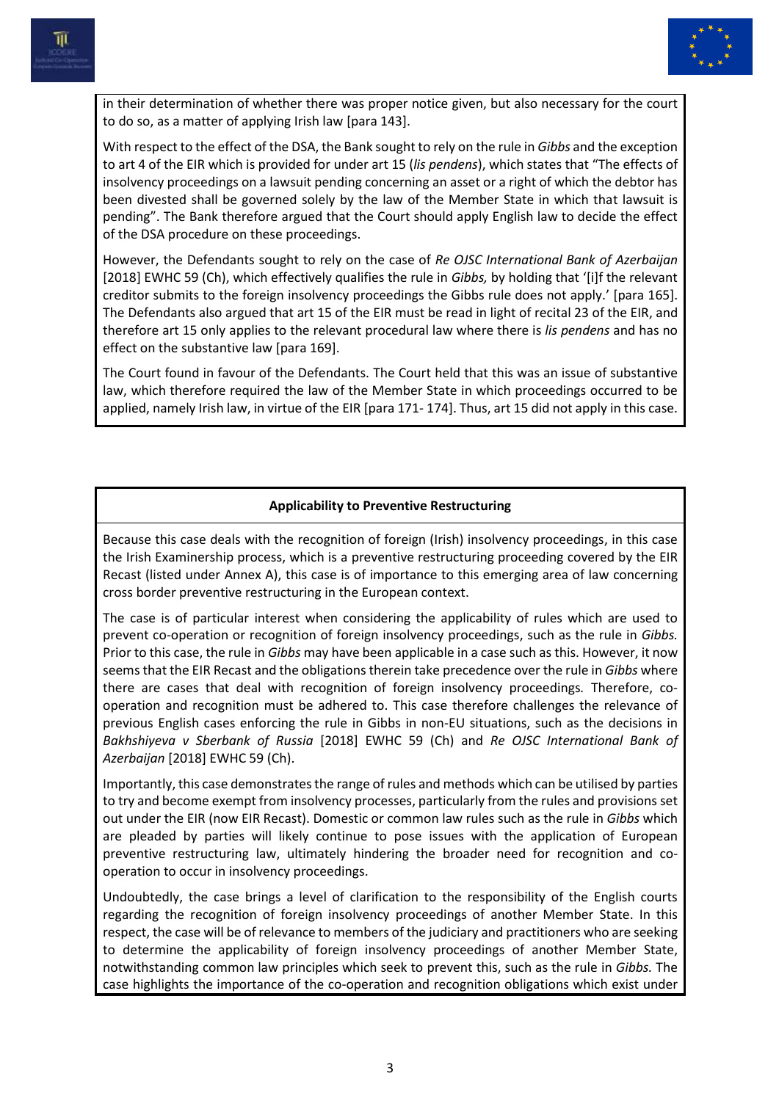

in their determination of whether there was proper notice given, but also necessary for the court to do so, as a matter of applying Irish law [para 143].

With respect to the effect of the DSA, the Bank sought to rely on the rule in *Gibbs* and the exception to art 4 of the EIR which is provided for under art 15 (*lis pendens*), which states that "The effects of insolvency proceedings on a lawsuit pending concerning an asset or a right of which the debtor has been divested shall be governed solely by the law of the Member State in which that lawsuit is pending". The Bank therefore argued that the Court should apply English law to decide the effect of the DSA procedure on these proceedings.

However, the Defendants sought to rely on the case of *Re OJSC International Bank of Azerbaijan* [2018] EWHC 59 (Ch), which effectively qualifies the rule in *Gibbs,* by holding that '[i]f the relevant creditor submits to the foreign insolvency proceedings the Gibbs rule does not apply.' [para 165]. The Defendants also argued that art 15 of the EIR must be read in light of recital 23 of the EIR, and therefore art 15 only applies to the relevant procedural law where there is *lis pendens* and has no effect on the substantive law [para 169].

The Court found in favour of the Defendants. The Court held that this was an issue of substantive law, which therefore required the law of the Member State in which proceedings occurred to be applied, namely Irish law, in virtue of the EIR [para 171- 174]. Thus, art 15 did not apply in this case.

## **Applicability to Preventive Restructuring**

Because this case deals with the recognition of foreign (Irish) insolvency proceedings, in this case the Irish Examinership process, which is a preventive restructuring proceeding covered by the EIR Recast (listed under Annex A), this case is of importance to this emerging area of law concerning cross border preventive restructuring in the European context.

The case is of particular interest when considering the applicability of rules which are used to prevent co-operation or recognition of foreign insolvency proceedings, such as the rule in *Gibbs.*  Prior to this case, the rule in *Gibbs* may have been applicable in a case such as this. However, it now seems that the EIR Recast and the obligations therein take precedence over the rule in *Gibbs* where there are cases that deal with recognition of foreign insolvency proceedings*.* Therefore, cooperation and recognition must be adhered to. This case therefore challenges the relevance of previous English cases enforcing the rule in Gibbs in non-EU situations, such as the decisions in *Bakhshiyeva v Sberbank of Russia* [2018] EWHC 59 (Ch) and *Re OJSC International Bank of Azerbaijan* [2018] EWHC 59 (Ch).

Importantly, this case demonstrates the range of rules and methods which can be utilised by parties to try and become exempt from insolvency processes, particularly from the rules and provisions set out under the EIR (now EIR Recast). Domestic or common law rules such as the rule in *Gibbs* which are pleaded by parties will likely continue to pose issues with the application of European preventive restructuring law, ultimately hindering the broader need for recognition and cooperation to occur in insolvency proceedings.

Undoubtedly, the case brings a level of clarification to the responsibility of the English courts regarding the recognition of foreign insolvency proceedings of another Member State. In this respect, the case will be of relevance to members of the judiciary and practitioners who are seeking to determine the applicability of foreign insolvency proceedings of another Member State, notwithstanding common law principles which seek to prevent this, such as the rule in *Gibbs.* The case highlights the importance of the co-operation and recognition obligations which exist under